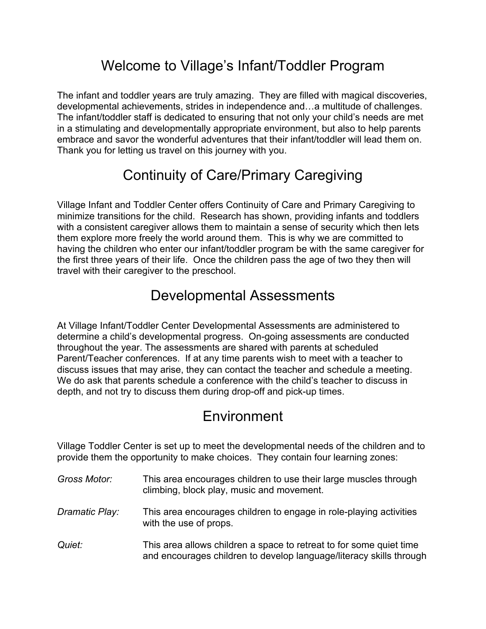## Welcome to Village's Infant/Toddler Program

The infant and toddler years are truly amazing. They are filled with magical discoveries, developmental achievements, strides in independence and…a multitude of challenges. The infant/toddler staff is dedicated to ensuring that not only your child's needs are met in a stimulating and developmentally appropriate environment, but also to help parents embrace and savor the wonderful adventures that their infant/toddler will lead them on. Thank you for letting us travel on this journey with you.

# Continuity of Care/Primary Caregiving

Village Infant and Toddler Center offers Continuity of Care and Primary Caregiving to minimize transitions for the child. Research has shown, providing infants and toddlers with a consistent caregiver allows them to maintain a sense of security which then lets them explore more freely the world around them. This is why we are committed to having the children who enter our infant/toddler program be with the same caregiver for the first three years of their life. Once the children pass the age of two they then will travel with their caregiver to the preschool.

### Developmental Assessments

At Village Infant/Toddler Center Developmental Assessments are administered to determine a child's developmental progress. On-going assessments are conducted throughout the year. The assessments are shared with parents at scheduled Parent/Teacher conferences. If at any time parents wish to meet with a teacher to discuss issues that may arise, they can contact the teacher and schedule a meeting. We do ask that parents schedule a conference with the child's teacher to discuss in depth, and not try to discuss them during drop-off and pick-up times.

### Environment

Village Toddler Center is set up to meet the developmental needs of the children and to provide them the opportunity to make choices. They contain four learning zones:

- *Gross Motor:* This area encourages children to use their large muscles through climbing, block play, music and movement.
- *Dramatic Play:* This area encourages children to engage in role-playing activities with the use of props.
- *Quiet:* This area allows children a space to retreat to for some quiet time and encourages children to develop language/literacy skills through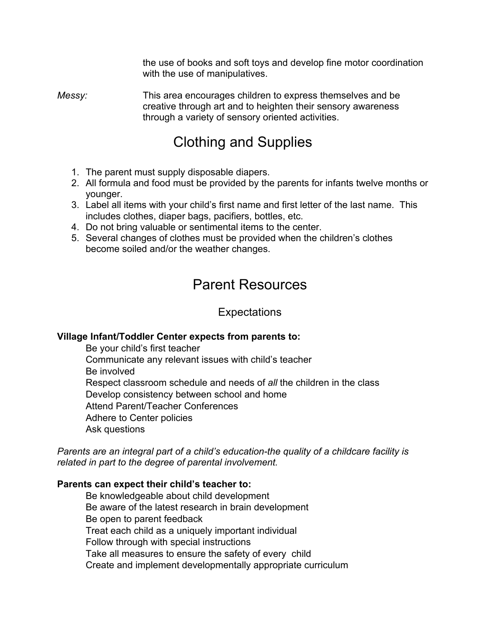the use of books and soft toys and develop fine motor coordination with the use of manipulatives.

*Messy:* This area encourages children to express themselves and be creative through art and to heighten their sensory awareness through a variety of sensory oriented activities.

## Clothing and Supplies

- 1. The parent must supply disposable diapers.
- 2. All formula and food must be provided by the parents for infants twelve months or younger.
- 3. Label all items with your child's first name and first letter of the last name. This includes clothes, diaper bags, pacifiers, bottles, etc.
- 4. Do not bring valuable or sentimental items to the center.
- 5. Several changes of clothes must be provided when the children's clothes become soiled and/or the weather changes.

## Parent Resources

Expectations

#### **Village Infant/Toddler Center expects from parents to:**

 Be your child's first teacher Communicate any relevant issues with child's teacher Be involved Respect classroom schedule and needs of *all* the children in the class Develop consistency between school and home Attend Parent/Teacher Conferences Adhere to Center policies Ask questions

*Parents are an integral part of a child's education-the quality of a childcare facility is related in part to the degree of parental involvement.*

#### **Parents can expect their child's teacher to:**

 Be knowledgeable about child development Be aware of the latest research in brain development Be open to parent feedback Treat each child as a uniquely important individual Follow through with special instructions Take all measures to ensure the safety of every child Create and implement developmentally appropriate curriculum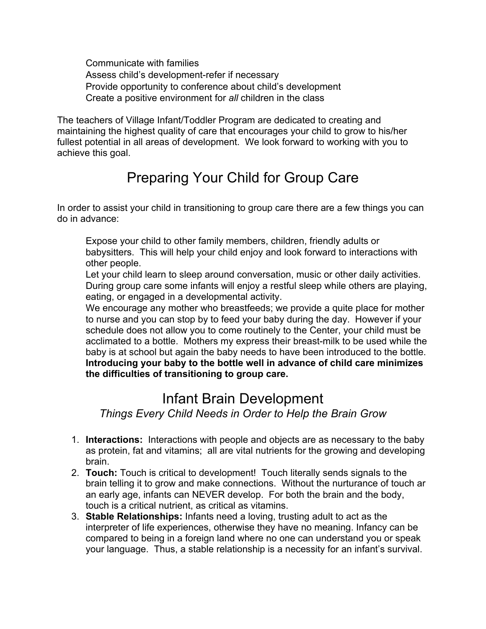Communicate with families Assess child's development-refer if necessary Provide opportunity to conference about child's development Create a positive environment for *all* children in the class

The teachers of Village Infant/Toddler Program are dedicated to creating and maintaining the highest quality of care that encourages your child to grow to his/her fullest potential in all areas of development. We look forward to working with you to achieve this goal.

# Preparing Your Child for Group Care

In order to assist your child in transitioning to group care there are a few things you can do in advance:

 Expose your child to other family members, children, friendly adults or babysitters. This will help your child enjoy and look forward to interactions with other people.

 Let your child learn to sleep around conversation, music or other daily activities. During group care some infants will enjoy a restful sleep while others are playing, eating, or engaged in a developmental activity.

 We encourage any mother who breastfeeds; we provide a quite place for mother to nurse and you can stop by to feed your baby during the day. However if your schedule does not allow you to come routinely to the Center, your child must be acclimated to a bottle. Mothers my express their breast-milk to be used while the baby is at school but again the baby needs to have been introduced to the bottle. **Introducing your baby to the bottle well in advance of child care minimizes the difficulties of transitioning to group care.**

### Infant Brain Development

*Things Every Child Needs in Order to Help the Brain Grow*

- 1. **Interactions:** Interactions with people and objects are as necessary to the baby as protein, fat and vitamins; all are vital nutrients for the growing and developing brain.
- 2. **Touch:** Touch is critical to development! Touch literally sends signals to the brain telling it to grow and make connections. Without the nurturance of touch ar an early age, infants can NEVER develop. For both the brain and the body, touch is a critical nutrient, as critical as vitamins.
- 3. **Stable Relationships:** Infants need a loving, trusting adult to act as the interpreter of life experiences, otherwise they have no meaning. Infancy can be compared to being in a foreign land where no one can understand you or speak your language. Thus, a stable relationship is a necessity for an infant's survival.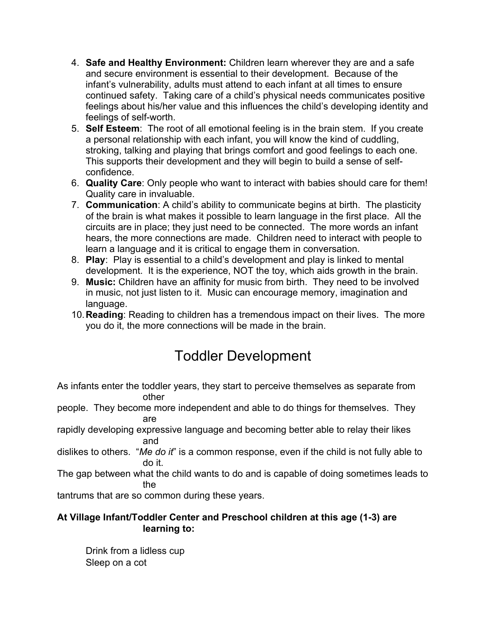- 4. **Safe and Healthy Environment:** Children learn wherever they are and a safe and secure environment is essential to their development. Because of the infant's vulnerability, adults must attend to each infant at all times to ensure continued safety. Taking care of a child's physical needs communicates positive feelings about his/her value and this influences the child's developing identity and feelings of self-worth.
- 5. **Self Esteem**: The root of all emotional feeling is in the brain stem. If you create a personal relationship with each infant, you will know the kind of cuddling, stroking, talking and playing that brings comfort and good feelings to each one. This supports their development and they will begin to build a sense of selfconfidence.
- 6. **Quality Care**: Only people who want to interact with babies should care for them! Quality care in invaluable.
- 7. **Communication**: A child's ability to communicate begins at birth. The plasticity of the brain is what makes it possible to learn language in the first place. All the circuits are in place; they just need to be connected. The more words an infant hears, the more connections are made. Children need to interact with people to learn a language and it is critical to engage them in conversation.
- 8. **Play**: Play is essential to a child's development and play is linked to mental development. It is the experience, NOT the toy, which aids growth in the brain.
- 9. **Music:** Children have an affinity for music from birth. They need to be involved in music, not just listen to it. Music can encourage memory, imagination and language.
- 10.**Reading**: Reading to children has a tremendous impact on their lives. The more you do it, the more connections will be made in the brain.

# Toddler Development

As infants enter the toddler years, they start to perceive themselves as separate from other

- people. They become more independent and able to do things for themselves. They are
- rapidly developing expressive language and becoming better able to relay their likes and
- dislikes to others. "*Me do it*" is a common response, even if the child is not fully able to do it.
- The gap between what the child wants to do and is capable of doing sometimes leads to the

tantrums that are so common during these years.

#### **At Village Infant/Toddler Center and Preschool children at this age (1-3) are learning to:**

 Drink from a lidless cup Sleep on a cot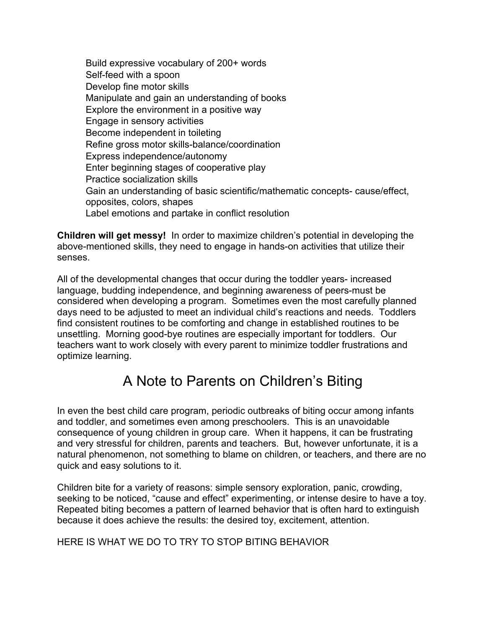Build expressive vocabulary of 200+ words Self-feed with a spoon Develop fine motor skills Manipulate and gain an understanding of books Explore the environment in a positive way Engage in sensory activities Become independent in toileting Refine gross motor skills-balance/coordination Express independence/autonomy Enter beginning stages of cooperative play Practice socialization skills Gain an understanding of basic scientific/mathematic concepts- cause/effect, opposites, colors, shapes Label emotions and partake in conflict resolution

**Children will get messy!** In order to maximize children's potential in developing the above-mentioned skills, they need to engage in hands-on activities that utilize their senses.

All of the developmental changes that occur during the toddler years- increased language, budding independence, and beginning awareness of peers-must be considered when developing a program. Sometimes even the most carefully planned days need to be adjusted to meet an individual child's reactions and needs. Toddlers find consistent routines to be comforting and change in established routines to be unsettling. Morning good-bye routines are especially important for toddlers. Our teachers want to work closely with every parent to minimize toddler frustrations and optimize learning.

## A Note to Parents on Children's Biting

In even the best child care program, periodic outbreaks of biting occur among infants and toddler, and sometimes even among preschoolers. This is an unavoidable consequence of young children in group care. When it happens, it can be frustrating and very stressful for children, parents and teachers. But, however unfortunate, it is a natural phenomenon, not something to blame on children, or teachers, and there are no quick and easy solutions to it.

Children bite for a variety of reasons: simple sensory exploration, panic, crowding, seeking to be noticed, "cause and effect" experimenting, or intense desire to have a toy. Repeated biting becomes a pattern of learned behavior that is often hard to extinguish because it does achieve the results: the desired toy, excitement, attention.

HERE IS WHAT WE DO TO TRY TO STOP BITING BEHAVIOR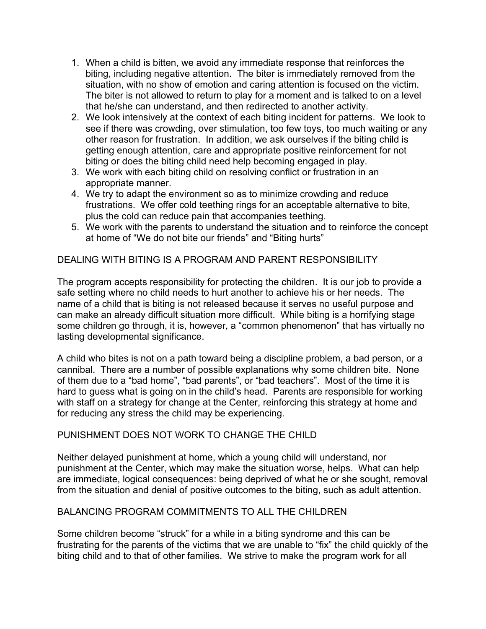- 1. When a child is bitten, we avoid any immediate response that reinforces the biting, including negative attention. The biter is immediately removed from the situation, with no show of emotion and caring attention is focused on the victim. The biter is not allowed to return to play for a moment and is talked to on a level that he/she can understand, and then redirected to another activity.
- 2. We look intensively at the context of each biting incident for patterns. We look to see if there was crowding, over stimulation, too few toys, too much waiting or any other reason for frustration. In addition, we ask ourselves if the biting child is getting enough attention, care and appropriate positive reinforcement for not biting or does the biting child need help becoming engaged in play.
- 3. We work with each biting child on resolving conflict or frustration in an appropriate manner.
- 4. We try to adapt the environment so as to minimize crowding and reduce frustrations. We offer cold teething rings for an acceptable alternative to bite, plus the cold can reduce pain that accompanies teething.
- 5. We work with the parents to understand the situation and to reinforce the concept at home of "We do not bite our friends" and "Biting hurts"

#### DEALING WITH BITING IS A PROGRAM AND PARENT RESPONSIBILITY

The program accepts responsibility for protecting the children. It is our job to provide a safe setting where no child needs to hurt another to achieve his or her needs. The name of a child that is biting is not released because it serves no useful purpose and can make an already difficult situation more difficult. While biting is a horrifying stage some children go through, it is, however, a "common phenomenon" that has virtually no lasting developmental significance.

A child who bites is not on a path toward being a discipline problem, a bad person, or a cannibal. There are a number of possible explanations why some children bite. None of them due to a "bad home", "bad parents", or "bad teachers". Most of the time it is hard to guess what is going on in the child's head. Parents are responsible for working with staff on a strategy for change at the Center, reinforcing this strategy at home and for reducing any stress the child may be experiencing.

#### PUNISHMENT DOES NOT WORK TO CHANGE THE CHILD

Neither delayed punishment at home, which a young child will understand, nor punishment at the Center, which may make the situation worse, helps. What can help are immediate, logical consequences: being deprived of what he or she sought, removal from the situation and denial of positive outcomes to the biting, such as adult attention.

#### BALANCING PROGRAM COMMITMENTS TO ALL THE CHILDREN

Some children become "struck" for a while in a biting syndrome and this can be frustrating for the parents of the victims that we are unable to "fix" the child quickly of the biting child and to that of other families. We strive to make the program work for all